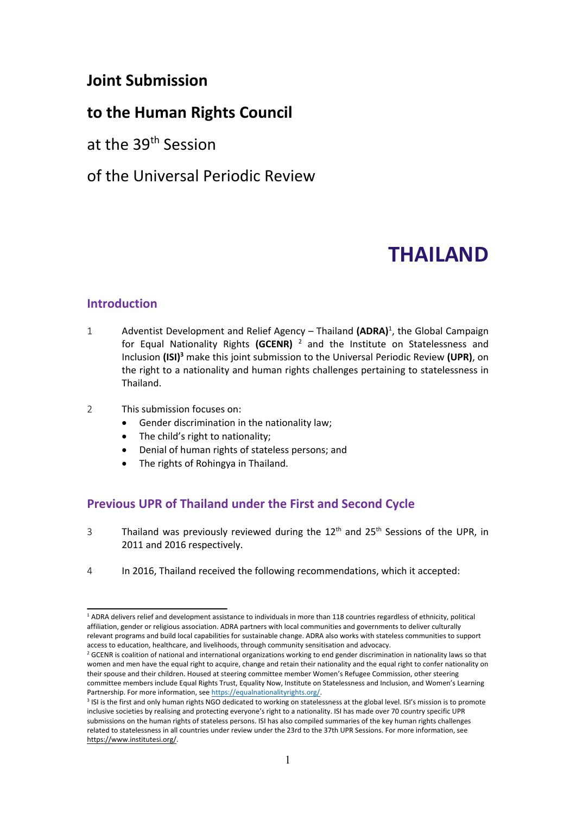# **Joint Submission**

# **to the Human Rights Council**

at the 39<sup>th</sup> Session

# of the Universal Periodic Review

# **THAILAND**

## **Introduction**

- 1 Adventist Development and Relief Agency Thailand **(ADRA)**<sup>1</sup>, the Global Campaign for Equal Nationality Rights **(GCENR)** 2 and the Institute on Statelessness and Inclusion **(ISI) <sup>3</sup>** make this joint submission to the Universal Periodic Review **(UPR)**, on the right to <sup>a</sup> nationality and human rights challenges pertaining to statelessness in Thailand.
- 2 This submission focuses on:
	- e Gender discrimination in the nationality law;
	- c The child'<sup>s</sup> right to nationality;
	- c Denial of human rights of stateless persons; and
	- e The rights of Rohingya in Thailand.

# **Previous UPR of Thailand under the First and Second Cycle**

- 3 Thailand was previously reviewed during the 12<sup>th</sup> and 25<sup>th</sup> Sessions of the UPR, in 2011 and 2016 respectively.
- 4 In 2016, Thailand received the following recommendations, which it accepted:

<sup>&</sup>lt;sup>1</sup> ADRA delivers relief and development assistance to individuals in more than 118 countries regardless of ethnicity, political affiliation, gender or religious association. ADRA partners with local communities and governments to deliver culturally relevant programs and build local capabilities for sustainable change. ADRA also works with stateless communities to support access to education, healthcare, and livelihoods, through community sensitisation and advocacy.

<sup>&</sup>lt;sup>2</sup> GCENR is coalition of national and international organizations working to end gender discrimination in nationality laws so that women and men have the equal right to acquire, change and retain their nationality and the equal right to confer nationality on their spouse and their children. Housed at steering committee member Women'<sup>s</sup> Refugee Commission, other steering committee members include Equal Rights Trust, Equality Now, Institute on Statelessness and Inclusion, and Women'<sup>s</sup> Learning Partnership. For more information, see <https://equalnationalityrights.org/>.

<sup>&</sup>lt;sup>3</sup> ISI is the first and only human rights NGO dedicated to working on statelessness at the global level. ISI's mission is to promote inclusive societies by realising and protecting everyone'<sup>s</sup> right to <sup>a</sup> nationality. ISI has made over 70 country specific UPR submissions on the human rights of stateless persons. ISI has also compiled summaries of the key human rights challenges related to statelessness in all countries under review under the 23rd to the 37th UPR Sessions. For more information, see <https://www.institutesi.org/>.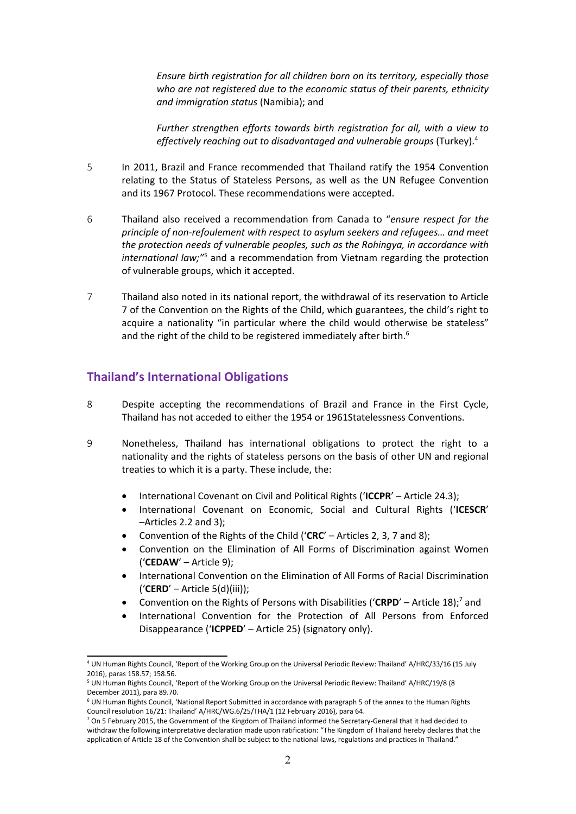*Ensure birth registration for all children born on its territory, especially those who are not registered due to the economic status of their parents, ethnicity and immigration status* (Namibia); and

*Further strengthen efforts towards birth registration for all, with <sup>a</sup> view to effectively reaching out to disadvantaged and vulnerable groups* (Turkey). 4

- 5 In 2011, Brazil and France recommended that Thailand ratify the 1954 Convention relating to the Status of Stateless Persons, as well as the UN Refugee Convention and its 1967 Protocol. These recommendations were accepted.
- 6 Thailand also received <sup>a</sup> recommendation from Canada to "*ensure respect for the principle of non-refoulement with respect to asylum seekers and refugees… and meet the protection needs of vulnerable peoples, such as the Rohingya, in accordance with international law;"*<sup>5</sup> and a recommendation from Vietnam regarding the protection of vulnerable groups, which it accepted.
- 7 Thailand also noted in its national report, the withdrawal of its reservation to Article 7 of the Convention on the Rights of the Child, which guarantees, the child'<sup>s</sup> right to acquire <sup>a</sup> nationality "in particular where the child would otherwise be stateless" and the right of the child to be registered immediately after birth. $^6$

## **Thailand'<sup>s</sup> International Obligations**

- 8 Despite accepting the recommendations of Brazil and France in the First Cycle, Thailand has not acceded to either the 1954 or 1961Statelessness Conventions.
- 9 Nonetheless, Thailand has international obligations to protect the right to <sup>a</sup> nationality and the rights of stateless persons on the basis of other UN and regional treaties to which it is <sup>a</sup> party. These include, the:
	- e International Covenant on Civil and Political Rights ('**ICCPR**' – Article 24.3);
	- c International Covenant on Economic, Social and Cultural Rights ('**ICESCR**' –Articles 2.2 and 3);
	- c Convention of the Rights of the Child ('**CRC**' – Articles 2, 3, 7 and 8);
	- e Convention on the Elimination of All Forms of Discrimination against Women ('**CEDAW**' – Article 9);
	- e International Convention on the Elimination of All Forms of Racial Discrimination ('**CERD**' – Article 5(d)(iii));
	- c • Convention on the Rights of Persons with Disabilities ('CRPD' – Article 18);<sup>7</sup> and
	- c International Convention for the Protection of All Persons from Enforced Disappearance ('**ICPPED**' – Article 25) (signatory only).

<sup>4</sup> UN Human Rights Council, 'Report of the Working Group on the Universal Periodic Review: Thailand' A/HRC/33/16 (15 July 2016), paras 158.57; 158.56.

<sup>5</sup> UN Human Rights Council, 'Report of the Working Group on the Universal Periodic Review: Thailand' A/HRC/19/8 (8 December 2011), para 89.70.

<sup>6</sup> UN Human Rights Council, 'National Report Submitted in accordance with paragraph 5 of the annex to the Human Rights Council resolution 16/21: Thailand' A/HRC/WG.6/25/THA/1 (12 February 2016), para 64.

<sup>&</sup>lt;sup>7</sup> On 5 February 2015, the Government of the Kingdom of Thailand informed the Secretary-General that it had decided to withdraw the following interpretative declaration made upon ratification: "The Kingdom of Thailand hereby declares that the application of Article 18 of the Convention shall be subject to the national laws, regulations and practices in Thailand."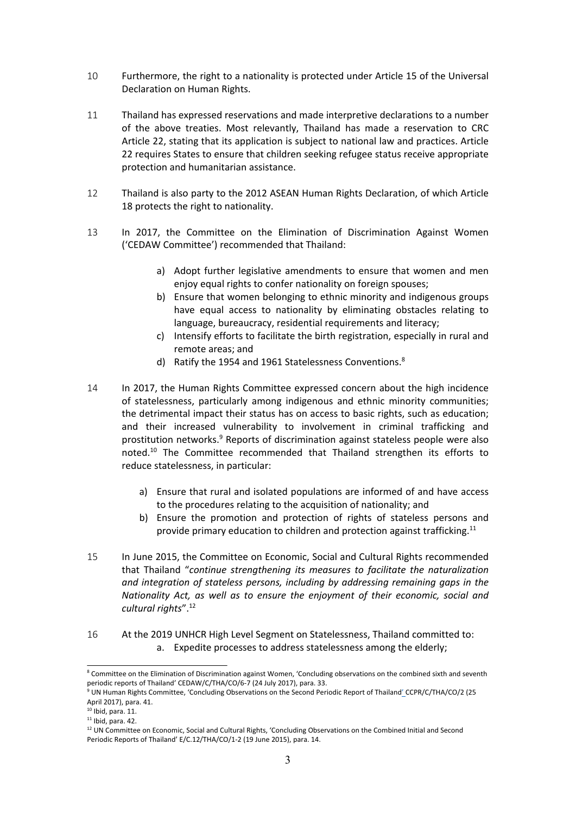- 10 Furthermore, the right to <sup>a</sup> nationality is protected under Article 15 of the Universal Declaration on Human Rights.
- 11 Thailand has expressed reservations and made interpretive declarations to <sup>a</sup> number of the above treaties. Most relevantly, Thailand has made <sup>a</sup> reservation to CRC Article 22, stating that its application is subject to national law and practices. Article 22 requires States to ensure that children seeking refugee status receive appropriate protection and humanitarian assistance.
- 12 Thailand is also party to the 2012 ASEAN Human Rights Declaration, of which Article 18 protects the right to nationality.
- 13 In 2017, the Committee on the Elimination of Discrimination Against Women ('CEDAW Committee') recommended that Thailand:
	- a) Adopt further legislative amendments to ensure that women and men enjoy equal rights to confer nationality on foreign spouses;
	- b) Ensure that women belonging to ethnic minority and indigenous groups have equal access to nationality by eliminating obstacles relating to language, bureaucracy, residential requirements and literacy;
	- c) Intensify efforts to facilitate the birth registration, especially in rural and remote areas; and
	- d) Ratify the 1954 and 1961 Statelessness Conventions. $^8$
- 14 In 2017, the Human Rights Committee expressed concern about the high incidence of statelessness, particularly among indigenous and ethnic minority communities; the detrimental impact their status has on access to basic rights, such as education; and their increased vulnerability to involvement in criminal trafficking and prostitution networks.<sup>9</sup> Reports of discrimination against stateless people were also noted.<sup>10</sup> The Committee recommended that Thailand strengthen its efforts to reduce statelessness, in particular:
	- a) Ensure that rural and isolated populations are informed of and have access to the procedures relating to the acquisition of nationality; and
	- b) Ensure the promotion and protection of rights of stateless persons and provide primary education to children and protection against trafficking. $^{11}$
- 15 In June 2015, the Committee on Economic, Social and Cultural Rights recommended that Thailand "*continue strengthening its measures to facilitate the naturalization and integration of stateless persons, including by addressing remaining gaps in the Nationality Act, as well as to ensure the enjoyment of their economic, social and cultural rights*". 12
- 16 At the 2019 UNHCR High Level Segment on Statelessness, Thailand committed to: a. Expedite processes to address statelessness among the elderly;

<sup>&</sup>lt;sup>8</sup> Committee on the Elimination of Discrimination against Women, 'Concluding observations on the combined sixth and seventh periodic reports of Thailand' CEDAW/C/THA/CO/6-7 (24 July 2017), para. 33.

<sup>9</sup> UN Human Rights Committee, 'Concluding Observations on the Second Periodic Report of Thailand' CCPR/C/THA/CO/2 (25 April 2017), para. 41.

 $10$  Ibid, para. 11.

<sup>&</sup>lt;sup>11</sup> Ibid, para. 42.

 $12$  UN Committee on Economic, Social and Cultural Rights, 'Concluding Observations on the Combined Initial and Second Periodic Reports of Thailand' E/C.12/THA/CO/1-2 (19 June 2015), para. 14.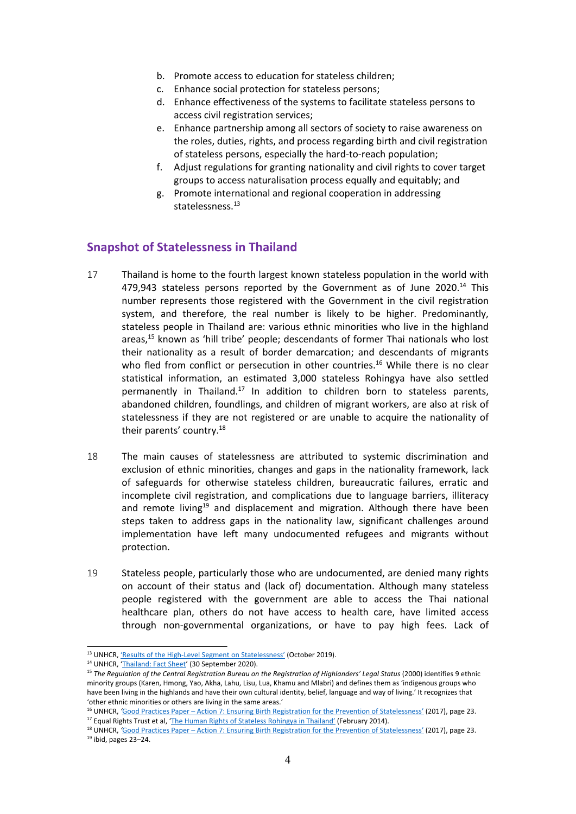- b. Promote access to education for stateless children;
- c. Enhance social protection for stateless persons;
- d. Enhance effectiveness of the systems to facilitate stateless persons to access civil registration services;
- e. Enhance partnership among all sectors of society to raise awareness on the roles, duties, rights, and process regarding birth and civil registration of stateless persons, especially the hard-to-reach population;
- f. Adjust regulations for granting nationality and civil rights to cover target groups to access naturalisation process equally and equitably; and
- g. Promote international and regional cooperation in addressing statelessness. 13

#### **Snapshot of Statelessness in Thailand**

- 17 Thailand is home to the fourth largest known stateless population in the world with 479,943 stateless persons reported by the Government as of June 2020.<sup>14</sup> This number represents those registered with the Government in the civil registration system, and therefore, the real number is likely to be higher. Predominantly, stateless people in Thailand are: various ethnic minorities who live in the highland areas, 15 known as 'hill tribe' people; descendants of former Thai nationals who lost their nationality as <sup>a</sup> result of border demarcation; and descendants of migrants who fled from conflict or persecution in other countries.<sup>16</sup> While there is no clear statistical information, an estimated 3,000 stateless Rohingya have also settled permanently in Thailand.<sup>17</sup> In addition to children born to stateless parents, abandoned children, foundlings, and children of migrant workers, are also at risk of statelessness if they are not registered or are unable to acquire the nationality of their parents' country.<sup>18</sup>
- 18 The main causes of statelessness are attributed to systemic discrimination and exclusion of ethnic minorities, changes and gaps in the nationality framework, lack of safeguards for otherwise stateless children, bureaucratic failures, erratic and incomplete civil registration, and complications due to language barriers, illiteracy and remote living<sup>19</sup> and displacement and migration. Although there have been steps taken to address gaps in the nationality law, significant challenges around implementation have left many undocumented refugees and migrants without protection.
- 19 Stateless people, particularly those who are undocumented, are denied many rights on account of their status and (lack of) documentation. Although many stateless people registered with the government are able to access the Thai national healthcare plan, others do not have access to health care, have limited access through non-governmental organizations, or have to pay high fees. Lack of

<sup>16</sup> UNHCR, *'Good Practices Paper – Action 7: Ensuring Birth [Registration](https://www.refworld.org/docid/5a0ac8f94.html) for the Prevention of Statelessness' (2017), page 23* <sup>17</sup> Equal Rights Trust et al, 'The Human Rights of Stateless [Rohingya](https://www.equalrightstrust.org/ertdocumentbank/The%20Human%20Rights%20of%20Stateless%20Rohingya%20in%20Thailand%28small%29.pdf) in Thailand' (February 2014).

<sup>&</sup>lt;sup>13</sup> UNHCR, 'Results of the High-Level Segment on [Statelessness](https://www.unhcr.org/ibelong/results-of-the-high-level-segment-on-statelessness/)' (October 2019).

<sup>&</sup>lt;sup>14</sup> UNHCR, '[Thailand:](https://www.unhcr.org/th/wp-content/uploads/sites/91/2020/11/UNHCR-Thailand-Fact-Sheet_30-September-2020.pdf) Fact Sheet' (30 September 2020).

<sup>&</sup>lt;sup>15</sup> The Regulation of the Central Registration Bureau on the Registration of Highlanders' Legal Status (2000) identifies 9 ethnic minority groups (Karen, Hmong, Yao, Akha, Lahu, Lisu, Lua, Khamu and Mlabri) and defines them as 'indigenous groups who have been living in the highlands and have their own cultural identity, belief, language and way of living.' It recognizes that 'other ethnic minorities or others are living in the same areas.'

<sup>&</sup>lt;sup>18</sup> UNHCR, *'Good Practices Paper – Action 7: Ensuring Birth [Registration](https://www.refworld.org/docid/5a0ac8f94.html) for the Prevention of Statelessness' (2017), page 23* 19 ibid, pages 23–24.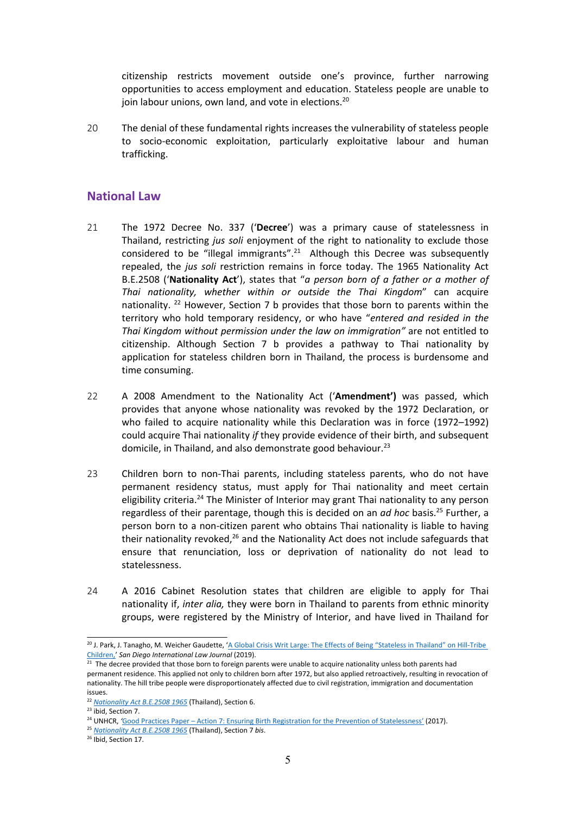citizenship restricts movement outside one'<sup>s</sup> province, further narrowing opportunities to access employment and education. Stateless people are unable to join labour unions, own land, and vote in elections.<sup>20</sup>

20 The denial of these fundamental rights increases the vulnerability of stateless people to socio-economic exploitation, particularly exploitative labour and human trafficking.

#### **National Law**

- 21 The 1972 Decree No. 337 ('**Decree**') was <sup>a</sup> primary cause of statelessness in Thailand, restricting *jus soli* enjoyment of the right to nationality to exclude those considered to be "illegal immigrants".<sup>21</sup> Although this Decree was subsequently repealed, the *jus soli* restriction remains in force today. The 1965 Nationality Act B.E.2508 ('**Nationality Act**'), states that "*<sup>a</sup> person born of <sup>a</sup> father or <sup>a</sup> mother of Thai nationality, whether within or outside the Thai Kingdom*" can acquire nationality. <sup>22</sup> However, Section 7 b provides that those born to parents within the territory who hold temporary residency, or who have "*entered and resided in the Thai Kingdom without permission under the law on immigration"* are not entitled to citizenship. Although Section 7 b provides <sup>a</sup> pathway to Thai nationality by application for stateless children born in Thailand, the process is burdensome and time consuming.
- 22 A 2008 Amendment to the Nationality Act ('**Amendment')** was passed, which provides that anyone whose nationality was revoked by the 1972 Declaration, or who failed to acquire nationality while this Declaration was in force (1972–1992) could acquire Thai nationality *if* they provide evidence of their birth, and subsequent domicile, in Thailand, and also demonstrate good behaviour.<sup>23</sup>
- 23 Children born to non-Thai parents, including stateless parents, who do not have permanent residency status, must apply for Thai nationality and meet certain eligibility criteria.<sup>24</sup> The Minister of Interior may grant Thai nationality to any person regardless of their parentage, though this is decided on an *ad hoc* basis. 25 Further, <sup>a</sup> person born to <sup>a</sup> non-citizen parent who obtains Thai nationality is liable to having their nationality revoked,<sup>26</sup> and the Nationality Act does not include safeguards that ensure that renunciation, loss or deprivation of nationality do not lead to statelessness.
- 24 A 2016 Cabinet Resolution states that children are eligible to apply for Thai nationality if, *inter alia,* they were born in Thailand to parents from ethnic minority groups, were registered by the Ministry of Interior, and have lived in Thailand for

<sup>&</sup>lt;sup>20</sup> J. Park, J. Tanagho, M. Weicher Gaudette, 'A Global Crisis Writ Large: The Effects of Being "Stateless in Thailand" on [Hill-Tribe](https://digital.sandiego.edu/ilj/vol10/iss2/8/) [Children,](https://digital.sandiego.edu/ilj/vol10/iss2/8/)' *San Diego International Law Journal* (2019).

 $21$  The decree provided that those born to foreign parents were unable to acquire nationality unless both parents had permanent residence. This applied not only to children born after 1972, but also applied retroactively, resulting in revocation of nationality. The hill tribe people were disproportionately affected due to civil registration, immigration and documentation issues.

<sup>22</sup> *[Nationality](https://www.refworld.org/pdfid/506c08862.pdf) Act B.E.2508 1965* (Thailand), Section 6.

<sup>&</sup>lt;sup>23</sup> ibid, Section 7.

<sup>24</sup> UNHCR, *'*Good Practices Paper – Action 7: Ensuring Birth [Registration](https://www.refworld.org/docid/5a0ac8f94.html) for the Prevention of Statelessness' (2017).

<sup>25</sup> *[Nationality](https://www.refworld.org/pdfid/506c08862.pdf) Act B.E.2508 1965* (Thailand), Section 7 *bis*.

<sup>&</sup>lt;sup>26</sup> Ibid, Section 17.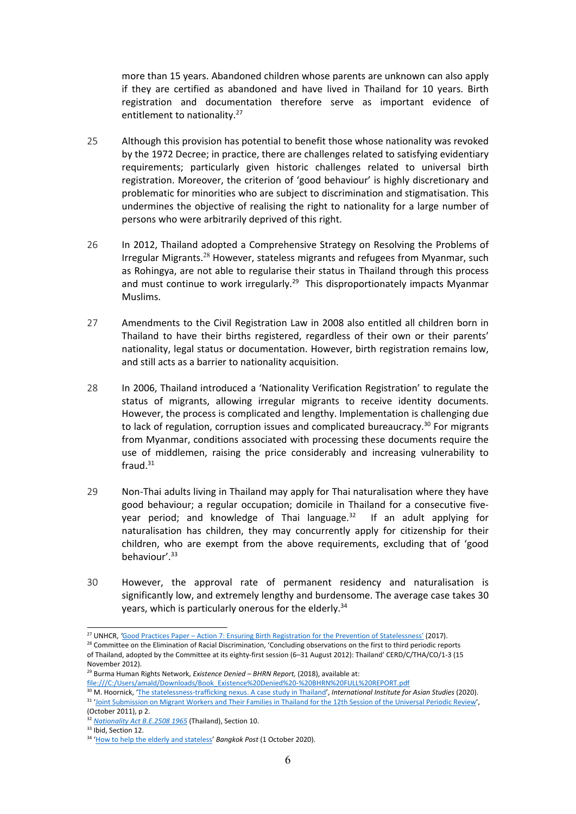more than 15 years. Abandoned children whose parents are unknown can also apply if they are certified as abandoned and have lived in Thailand for 10 years. Birth registration and documentation therefore serve as important evidence of entitlement to nationality.<sup>27</sup>

- 25 Although this provision has potential to benefit those whose nationality was revoked by the 1972 Decree; in practice, there are challenges related to satisfying evidentiary requirements; particularly given historic challenges related to universal birth registration. Moreover, the criterion of 'good behaviour' is highly discretionary and problematic for minorities who are subject to discrimination and stigmatisation. This undermines the objective of realising the right to nationality for <sup>a</sup> large number of persons who were arbitrarily deprived of this right.
- 26 In 2012, Thailand adopted <sup>a</sup> Comprehensive Strategy on Resolving the Problems of Irregular Migrants.<sup>28</sup> However, stateless migrants and refugees from Myanmar, such as Rohingya, are not able to regularise their status in Thailand through this process and must continue to work irregularly.<sup>29</sup> This disproportionately impacts Myanmar Muslims.
- 27 Amendments to the Civil Registration Law in 2008 also entitled all children born in Thailand to have their births registered, regardless of their own or their parents' nationality, legal status or documentation. However, birth registration remains low, and still acts as <sup>a</sup> barrier to nationality acquisition.
- 28 In 2006, Thailand introduced <sup>a</sup> 'Nationality Verification Registration' to regulate the status of migrants, allowing irregular migrants to receive identity documents. However, the process is complicated and lengthy. Implementation is challenging due to lack of regulation, corruption issues and complicated bureaucracy. 30 For migrants from Myanmar, conditions associated with processing these documents require the use of middlemen, raising the price considerably and increasing vulnerability to fraud. $^{31}$
- 29 Non-Thai adults living in Thailand may apply for Thai naturalisation where they have good behaviour; <sup>a</sup> regular occupation; domicile in Thailand for <sup>a</sup> consecutive fiveyear period; and knowledge of Thai language.<sup>32</sup> If an adult applying for naturalisation has children, they may concurrently apply for citizenship for their children, who are exempt from the above requirements, excluding that of 'good behaviour'. 33
- 30 However, the approval rate of permanent residency and naturalisation is significantly low, and extremely lengthy and burdensome. The average case takes 30 years, which is particularly onerous for the elderly.<sup>34</sup>

<sup>27</sup> UNHCR, *'*Good Practices Paper – Action 7: Ensuring Birth [Registration](https://www.refworld.org/docid/5a0ac8f94.html) for the Prevention of Statelessness' (2017).

<sup>&</sup>lt;sup>28</sup> Committee on the Elimination of Racial Discrimination, 'Concluding observations on the first to third periodic reports of Thailand, adopted by the Committee at its eighty-first session (6–31 August 2012): Thailand' CERD/C/THA/CO/1-3 (15 November 2012).

<sup>29</sup> Burma Human Rights Network, *Existence Denied – BHRN Report,* (2018), available at:

file:///C:/Users/amald/Downloads/Book\_Existence%20Denied%20-%20BHRN%20FULL%20REPORT.pdf

<sup>30</sup> M. Hoornick, 'The [statelessness-trafficking](https://www.iias.asia/the-newsletter/article/statelessness-trafficking-nexus-case-study-thailand) nexus. <sup>A</sup> case study in Thailand', *International Institute for Asian Studies* (2020). <sup>31</sup> 'Joint [Submission](https://lib.ohchr.org/HRBodies/UPR/Documents/session12/TH/JS4-JointSubmission4-eng.pdf) on Migrant Workers and Their Families in Thailand for the 12th Session of the Universal Periodic Review' (October 2011), p 2.

<sup>32</sup> *[Nationality](https://www.refworld.org/pdfid/506c08862.pdf) Act B.E.2508 1965* (Thailand), Section 10.

<sup>&</sup>lt;sup>33</sup> Ibid, Section 12.

<sup>34</sup> 'How to help the elderly and [stateless](https://www.bangkokpost.com/opinion/opinion/1994411/how-to-help-the-elderly-and-stateless.)' *Bangkok Post* (1 October 2020).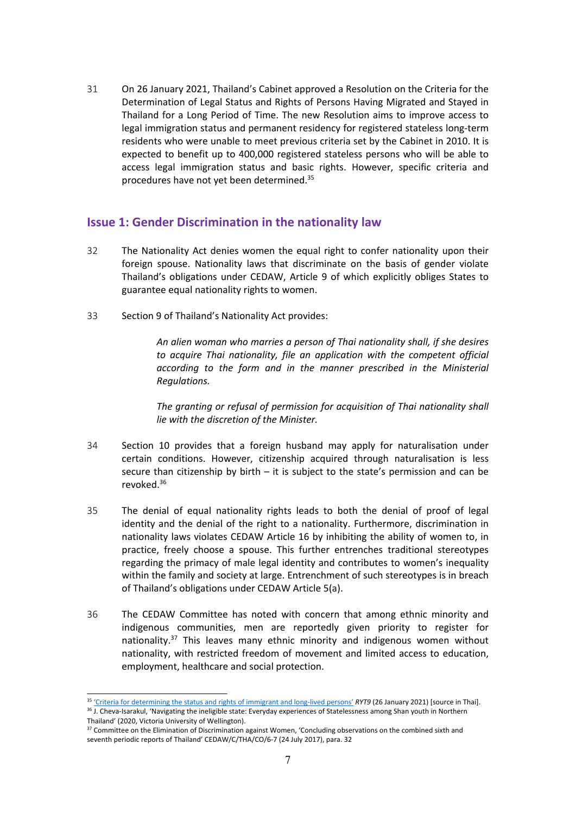31 On 26 January 2021, Thailand'<sup>s</sup> Cabinet approved <sup>a</sup> Resolution on the Criteria for the Determination of Legal Status and Rights of Persons Having Migrated and Stayed in Thailand for <sup>a</sup> Long Period of Time. The new Resolution aims to improve access to legal immigration status and permanent residency for registered stateless long-term residents who were unable to meet previous criteria set by the Cabinet in 2010. It is expected to benefit up to 400,000 registered stateless persons who will be able to access legal immigration status and basic rights. However, specific criteria and procedures have not yet been determined.<sup>35</sup>

## **Issue 1: Gender Discrimination in the nationality law**

- 32 The Nationality Act denies women the equal right to confer nationality upon their foreign spouse. Nationality laws that discriminate on the basis of gender violate Thailand'<sup>s</sup> obligations under CEDAW, Article 9 of which explicitly obliges States to guarantee equal nationality rights to women.
- 33 Section 9 of Thailand'<sup>s</sup> Nationality Act provides:

*An alien woman who marries <sup>a</sup> person of Thai nationality shall, if she desires to acquire Thai nationality, file an application with the competent official according to the form and in the manner prescribed in the Ministerial Regulations.*

*The granting or refusal of permission for acquisition of Thai nationality shall lie with the discretion of the Minister.*

- 34 Section 10 provides that <sup>a</sup> foreign husband may apply for naturalisation under certain conditions. However, citizenship acquired through naturalisation is less secure than citizenship by birth – it is subject to the state'<sup>s</sup> permission and can be revoked.<sup>36</sup>
- 35 The denial of equal nationality rights leads to both the denial of proof of legal identity and the denial of the right to <sup>a</sup> nationality. Furthermore, discrimination in nationality laws violates CEDAW Article 16 by inhibiting the ability of women to, in practice, freely choose <sup>a</sup> spouse. This further entrenches traditional stereotypes regarding the primacy of male legal identity and contributes to women'<sup>s</sup> inequality within the family and society at large. Entrenchment of such stereotypes is in breach of Thailand'<sup>s</sup> obligations under CEDAW Article 5(a).
- 36 The CEDAW Committee has noted with concern that among ethnic minority and indigenous communities, men are reportedly given priority to register for nationality.<sup>37</sup> This leaves many ethnic minority and indigenous women without nationality, with restricted freedom of movement and limited access to education, employment, healthcare and social protection.

<sup>&</sup>lt;sup>35</sup> 'Criteria for [determining](https://www.ryt9.com/s/cabt/3194535) the status and rights of immigrant and long-lived persons' *RYT9* (26 January 2021) [source in Thai].

<sup>&</sup>lt;sup>36</sup> J. Cheva-Isarakul, 'Navigating the ineligible state: Everyday experiences of Statelessness among Shan youth in Northern Thailand' (2020, Victoria University of Wellington).

<sup>&</sup>lt;sup>37</sup> Committee on the Elimination of Discrimination against Women, 'Concluding observations on the combined sixth and seventh periodic reports of Thailand' CEDAW/C/THA/CO/6-7 (24 July 2017), para. 32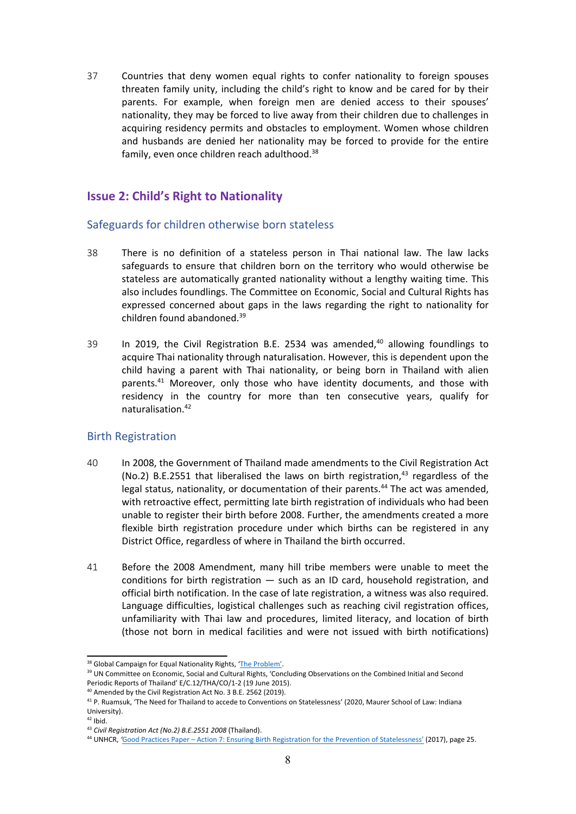37 Countries that deny women equal rights to confer nationality to foreign spouses threaten family unity, including the child'<sup>s</sup> right to know and be cared for by their parents. For example, when foreign men are denied access to their spouses' nationality, they may be forced to live away from their children due to challenges in acquiring residency permits and obstacles to employment. Women whose children and husbands are denied her nationality may be forced to provide for the entire family, even once children reach adulthood.<sup>38</sup>

# **Issue 2: Child'<sup>s</sup> Right to Nationality**

#### Safeguards for children otherwise born stateless

- 38 There is no definition of <sup>a</sup> stateless person in Thai national law. The law lacks safeguards to ensure that children born on the territory who would otherwise be stateless are automatically granted nationality without <sup>a</sup> lengthy waiting time. This also includes foundlings. The Committee on Economic, Social and Cultural Rights has expressed concerned about gaps in the laws regarding the right to nationality for children found abandoned.<sup>39</sup>
- 39 In 2019, the Civil Registration B.E. 2534 was amended, $40$  allowing foundlings to acquire Thai nationality through naturalisation. However, this is dependent upon the child having <sup>a</sup> parent with Thai nationality, or being born in Thailand with alien parents. <sup>41</sup> Moreover, only those who have identity documents, and those with residency in the country for more than ten consecutive years, qualify for naturalisation. 42

#### Birth Registration

- 40 In 2008, the Government of Thailand made amendments to the Civil Registration Act (No.2) B.E.2551 that liberalised the laws on birth registration,<sup>43</sup> regardless of the legal status, nationality, or documentation of their parents. 44 The act was amended, with retroactive effect, permitting late birth registration of individuals who had been unable to register their birth before 2008. Further, the amendments created <sup>a</sup> more flexible birth registration procedure under which births can be registered in any District Office, regardless of where in Thailand the birth occurred.
- 41 Before the 2008 Amendment, many hill tribe members were unable to meet the conditions for birth registration — such as an ID card, household registration, and official birth notification. In the case of late registration, <sup>a</sup> witness was also required. Language difficulties, logistical challenges such as reaching civil registration offices, unfamiliarity with Thai law and procedures, limited literacy, and location of birth (those not born in medical facilities and were not issued with birth notifications)

<sup>&</sup>lt;sup>38</sup> Global Campaign for Equal Nationality Rights, 'The [Problem](https://www.equalnationalityrights.org/the-issue/the-problem)'.

<sup>&</sup>lt;sup>39</sup> UN Committee on Economic, Social and Cultural Rights, 'Concluding Observations on the Combined Initial and Second Periodic Reports of Thailand' E/C.12/THA/CO/1-2 (19 June 2015).

<sup>&</sup>lt;sup>40</sup> Amended by the Civil Registration Act No. 3 B.E. 2562 (2019).

<sup>&</sup>lt;sup>41</sup> P. Ruamsuk, 'The Need for Thailand to accede to Conventions on Statelessness' (2020, Maurer School of Law: Indiana University).

 $42$  Ibid.

<sup>43</sup> *Civil Registration Act (No.2) B.E.2551 2008* (Thailand).

<sup>44</sup> UNHCR, *'*Good Practices Paper – Action 7: Ensuring Birth [Registration](https://www.refworld.org/docid/5a0ac8f94.html) for the Prevention of Statelessness' (2017), page 25.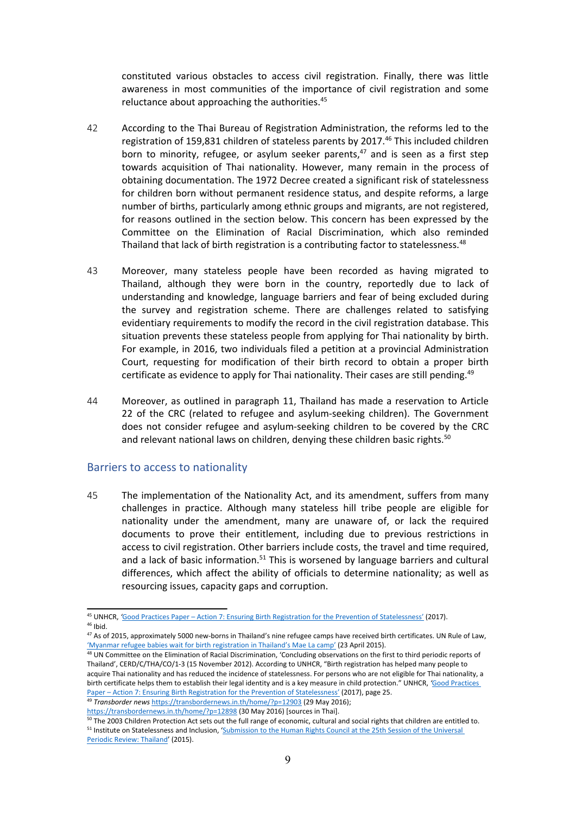constituted various obstacles to access civil registration. Finally, there was little awareness in most communities of the importance of civil registration and some reluctance about approaching the authorities.<sup>45</sup>

- 42 According to the Thai Bureau of Registration Administration, the reforms led to the registration of 159,831 children of stateless parents by 2017. 46 This included children born to minority, refugee, or asylum seeker parents,<sup>47</sup> and is seen as a first step towards acquisition of Thai nationality. However, many remain in the process of obtaining documentation. The 1972 Decree created <sup>a</sup> significant risk of statelessness for children born without permanent residence status, and despite reforms, <sup>a</sup> large number of births, particularly among ethnic groups and migrants, are not registered, for reasons outlined in the section below. This concern has been expressed by the Committee on the Elimination of Racial Discrimination, which also reminded Thailand that lack of birth registration is a contributing factor to statelessness.<sup>48</sup>
- 43 Moreover, many stateless people have been recorded as having migrated to Thailand, although they were born in the country, reportedly due to lack of understanding and knowledge, language barriers and fear of being excluded during the survey and registration scheme. There are challenges related to satisfying evidentiary requirements to modify the record in the civil registration database. This situation prevents these stateless people from applying for Thai nationality by birth. For example, in 2016, two individuals filed <sup>a</sup> petition at <sup>a</sup> provincial Administration Court, requesting for modification of their birth record to obtain <sup>a</sup> proper birth certificate as evidence to apply for Thai nationality. Their cases are still pending.<sup>49</sup>
- 44 Moreover, as outlined in paragraph 11, Thailand has made <sup>a</sup> reservation to Article 22 of the CRC (related to refugee and asylum-seeking children). The Government does not consider refugee and asylum-seeking children to be covered by the CRC and relevant national laws on children, denying these children basic rights.<sup>50</sup>

#### Barriers to access to nationality

45 The implementation of the Nationality Act, and its amendment, suffers from many challenges in practice. Although many stateless hill tribe people are eligible for nationality under the amendment, many are unaware of, or lack the required documents to prove their entitlement, including due to previous restrictions in access to civil registration. Other barriers include costs, the travel and time required, and a lack of basic information.<sup>51</sup> This is worsened by language barriers and cultural differences, which affect the ability of officials to determine nationality; as well as resourcing issues, capacity gaps and corruption.

<sup>48</sup> UN Committee on the Elimination of Racial Discrimination, 'Concluding observations on the first to third periodic reports of Thailand', CERD/C/THA/CO/1-3 (15 November 2012). According to UNHCR, "Birth registration has helped many people to acquire Thai nationality and has reduced the incidence of statelessness. For persons who are not eligible for Thai nationality, <sup>a</sup> birth certificate helps them to establish their legal identity and is <sup>a</sup> key measure in child protection." UNHCR, *'*Good [Practices](https://www.refworld.org/docid/5a0ac8f94.html) Paper – Action 7: Ensuring Birth [Registration](https://www.refworld.org/docid/5a0ac8f94.html) for the Prevention of Statelessness' (2017), page 25.

49 *Transborder news* <https://transbordernews.in.th/home/?p=12903> (29 May 2016); <https://transbordernews.in.th/home/?p=12898> (30 May 2016) [sources in Thai].

<sup>45</sup> UNHCR, *'*Good Practices Paper – Action 7: Ensuring Birth [Registration](https://www.refworld.org/docid/5a0ac8f94.html) for the Prevention of Statelessness' (2017). <sup>46</sup> Ibid.

<sup>&</sup>lt;sup>47</sup> As of 2015, approximately 5000 new-borns in Thailand's nine refugee camps have received birth certificates. UN Rule of Law, 'Myanmar refugee babies wait for birth [registration](https://www.un.org/ruleoflaw/thailand-daily-life-and-living-conditions-at-umpium-and-mae-la-camps-largest-myanmar-refugee-camps/) in Thailand'<sup>s</sup> Mae La camp' (23 April 2015).

<sup>&</sup>lt;sup>50</sup> The 2003 Children Protection Act sets out the full range of economic, cultural and social rights that children are entitled to <sup>51</sup> Institute on Statelessness and Inclusion, '[Submission](https://files.institutesi.org/ThailandUPR2015.pdf) to the Human Rights Council at the 25th Session of the Universal Periodic Review: [Thailand](https://files.institutesi.org/ThailandUPR2015.pdf)' (2015).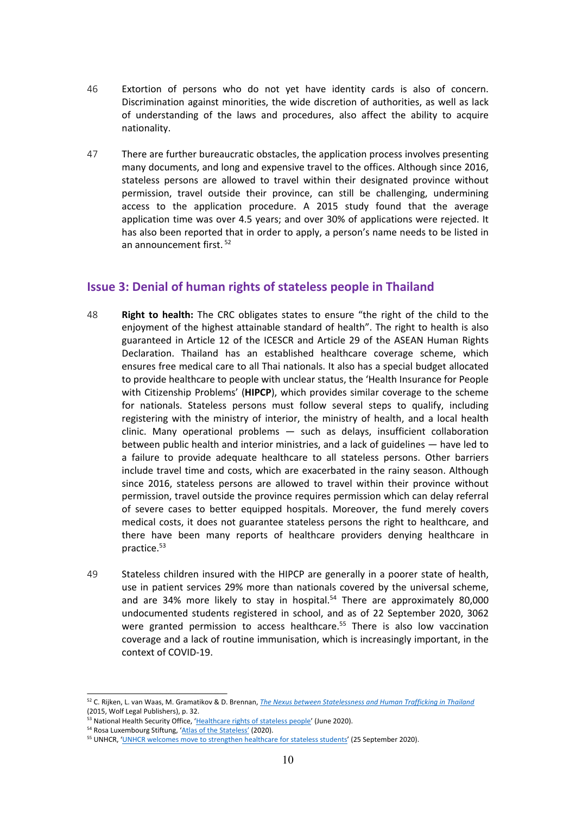- 46 Extortion of persons who do not yet have identity cards is also of concern. Discrimination against minorities, the wide discretion of authorities, as well as lack of understanding of the laws and procedures, also affect the ability to acquire nationality.
- 47 There are further bureaucratic obstacles, the application process involves presenting many documents, and long and expensive travel to the offices. Although since 2016, stateless persons are allowed to travel within their designated province without permission, travel outside their province, can still be challenging, undermining access to the application procedure. A 2015 study found that the average application time was over 4.5 years; and over 30% of applications were rejected. It has also been reported that in order to apply, <sup>a</sup> person'<sup>s</sup> name needs to be listed in an announcement first. 52

## **Issue 3: Denial of human rights of stateless people in Thailand**

- 48 **Right to health:** The CRC obligates states to ensure "the right of the child to the enjoyment of the highest attainable standard of health". The right to health is also guaranteed in Article 12 of the ICESCR and Article 29 of the ASEAN Human Rights Declaration. Thailand has an established healthcare coverage scheme, which ensures free medical care to all Thai nationals. It also has <sup>a</sup> special budget allocated to provide healthcare to people with unclear status, the 'Health Insurance for People with Citizenship Problems' (**HIPCP**), which provides similar coverage to the scheme for nationals. Stateless persons must follow several steps to qualify, including registering with the ministry of interior, the ministry of health, and <sup>a</sup> local health clinic. Many operational problems — such as delays, insufficient collaboration between public health and interior ministries, and <sup>a</sup> lack of guidelines — have led to <sup>a</sup> failure to provide adequate healthcare to all stateless persons. Other barriers include travel time and costs, which are exacerbated in the rainy season. Although since 2016, stateless persons are allowed to travel within their province without permission, travel outside the province requires permission which can delay referral of severe cases to better equipped hospitals. Moreover, the fund merely covers medical costs, it does not guarantee stateless persons the right to healthcare, and there have been many reports of healthcare providers denying healthcare in practice.<sup>53</sup>
- 49 Stateless children insured with the HIPCP are generally in <sup>a</sup> poorer state of health, use in patient services 29% more than nationals covered by the universal scheme, and are 34% more likely to stay in hospital.<sup>54</sup> There are approximately 80,000 undocumented students registered in school, and as of 22 September 2020, 3062 were granted permission to access healthcare.<sup>55</sup> There is also low vaccination coverage and <sup>a</sup> lack of routine immunisation, which is increasingly important, in the context of COVID-19.

<sup>52</sup> C. Rijken, L. van Waas, M. Gramatikov & D. Brennan, *The Nexus between [Statelessness](https://files.institutesi.org/Stateless-Trafficking_Thailand.pdf) and Human Trafficking in Thailand* (2015, Wolf Legal Publishers), p. 32.

<sup>&</sup>lt;sup>53</sup> National Health Security Office, '[Healthcare](http://eng.nhso.go.th/view/1/DescriptionNews/Healthcare-rights-of-stateless-people-/158/EN-US) rights of stateless people' (June 2020).

<sup>&</sup>lt;sup>54</sup> Rosa Luxembourg Stiftung, 'Atlas of the [Stateless](https://rosalux-geneva.org/atlas-of-the-stateless-2/)' (2020).

<sup>&</sup>lt;sup>55</sup> UNHCR, 'UNHCR welcomes move to [strengthen](https://www.unhcr.org/th/en/21829-unhcr-welcomes-move-to-strengthen-healthcare-for-stateless-students.html) healthcare for stateless students' (25 September 2020).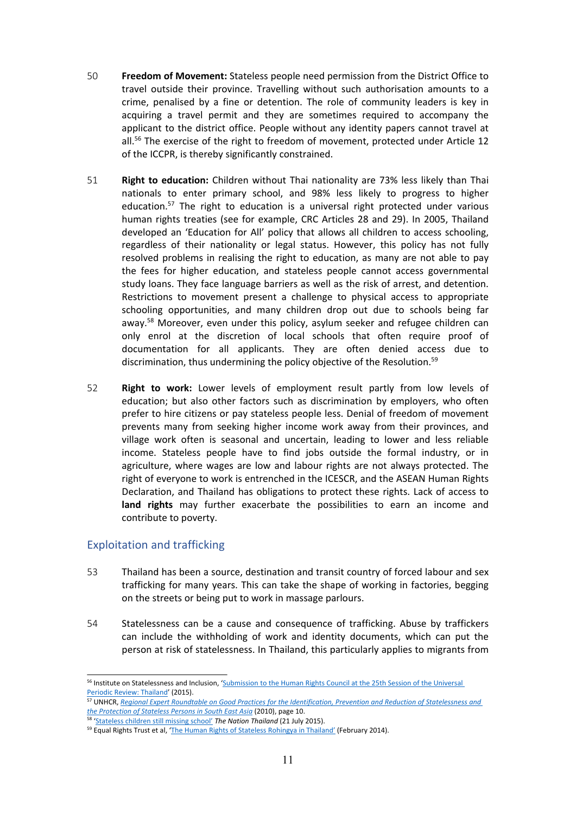- 50 **Freedom of Movement:** Stateless people need permission from the District Office to travel outside their province. Travelling without such authorisation amounts to <sup>a</sup> crime, penalised by <sup>a</sup> fine or detention. The role of community leaders is key in acquiring <sup>a</sup> travel permit and they are sometimes required to accompany the applicant to the district office. People without any identity papers cannot travel at all. 56 The exercise of the right to freedom of movement, protected under Article 12 of the ICCPR, is thereby significantly constrained.
- 51 **Right to education:** Children without Thai nationality are 73% less likely than Thai nationals to enter primary school, and 98% less likely to progress to higher education.<sup>57</sup> The right to education is a universal right protected under various human rights treaties (see for example, CRC Articles 28 and 29). In 2005, Thailand developed an 'Education for All' policy that allows all children to access schooling, regardless of their nationality or legal status. However, this policy has not fully resolved problems in realising the right to education, as many are not able to pay the fees for higher education, and stateless people cannot access governmental study loans. They face language barriers as well as the risk of arrest, and detention. Restrictions to movement present <sup>a</sup> challenge to physical access to appropriate schooling opportunities, and many children drop out due to schools being far away.<sup>58</sup> Moreover, even under this policy, asylum seeker and refugee children can only enrol at the discretion of local schools that often require proof of documentation for all applicants. They are often denied access due to discrimination, thus undermining the policy objective of the Resolution.<sup>59</sup>
- 52 **Right to work:** Lower levels of employment result partly from low levels of education; but also other factors such as discrimination by employers, who often prefer to hire citizens or pay stateless people less. Denial of freedom of movement prevents many from seeking higher income work away from their provinces, and village work often is seasonal and uncertain, leading to lower and less reliable income. Stateless people have to find jobs outside the formal industry, or in agriculture, where wages are low and labour rights are not always protected. The right of everyone to work is entrenched in the ICESCR, and the ASEAN Human Rights Declaration, and Thailand has obligations to protect these rights. Lack of access to **land rights** may further exacerbate the possibilities to earn an income and contribute to poverty.

#### Exploitation and trafficking

- 53 Thailand has been <sup>a</sup> source, destination and transit country of forced labour and sex trafficking for many years. This can take the shape of working in factories, begging on the streets or being put to work in massage parlours.
- 54 Statelessness can be <sup>a</sup> cause and consequence of trafficking. Abuse by traffickers can include the withholding of work and identity documents, which can put the person at risk of statelessness. In Thailand, this particularly applies to migrants from

<sup>&</sup>lt;sup>56</sup> Institute on Statelessness and Inclusion, '[Submission](https://files.institutesi.org/ThailandUPR2015.pdf) to the Human Rights Council at the 25th Session of the Universa Periodic Review: [Thailand](https://files.institutesi.org/ThailandUPR2015.pdf)' (2015).

<sup>&</sup>lt;sup>57</sup> UNHCR, <u>Regional Expert Roundtable on Good Practices for the [Identification,](https://www.refworld.org/pdfid/4d6e09932.pdf) Prevention and Reduction of Statelessness and</u> <u>the [Protection](https://www.refworld.org/pdfid/4d6e09932.pdf) of [Stateless](https://www.nationthailand.com/news/30264796) Persons in South East Asia</u> (2010), page 10.<br><sup>58</sup> 'Stateless children still missing school' T**he Nation Thailand** (21 July 2015).

<sup>&</sup>lt;sup>59</sup> Equal Rights Trust et al, 'The Human Rights of Stateless [Rohingya](https://www.equalrightstrust.org/ertdocumentbank/The%20Human%20Rights%20of%20Stateless%20Rohingya%20in%20Thailand%28small%29.pdf) in Thailand' (February 2014).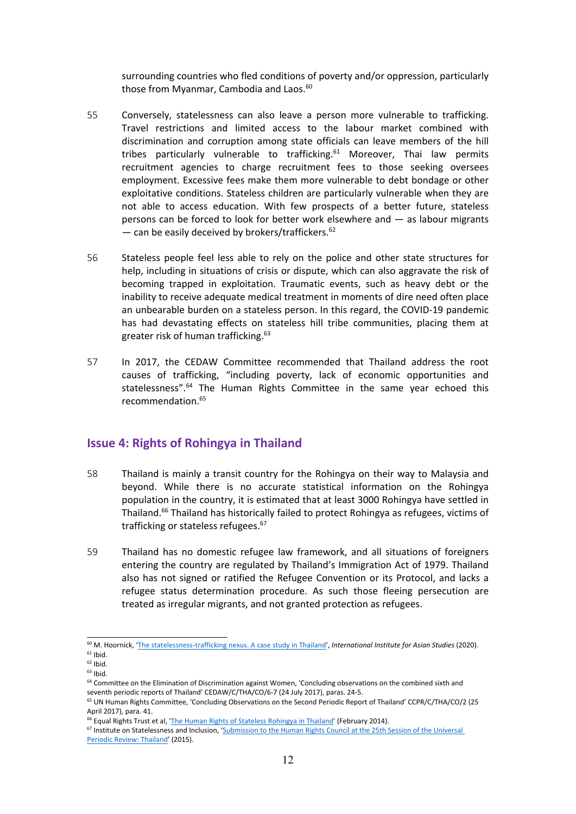surrounding countries who fled conditions of poverty and/or oppression, particularly those from Myanmar, Cambodia and Laos.<sup>60</sup>

- 55 Conversely, statelessness can also leave <sup>a</sup> person more vulnerable to trafficking. Travel restrictions and limited access to the labour market combined with discrimination and corruption among state officials can leave members of the hill tribes particularly vulnerable to trafficking.<sup>61</sup> Moreover, Thai law permits recruitment agencies to charge recruitment fees to those seeking oversees employment. Excessive fees make them more vulnerable to debt bondage or other exploitative conditions. Stateless children are particularly vulnerable when they are not able to access education. With few prospects of <sup>a</sup> better future, stateless persons can be forced to look for better work elsewhere and — as labour migrants — can be easily deceived by brokers/traffickers.<sup>62</sup>
- 56 Stateless people feel less able to rely on the police and other state structures for help, including in situations of crisis or dispute, which can also aggravate the risk of becoming trapped in exploitation. Traumatic events, such as heavy debt or the inability to receive adequate medical treatment in moments of dire need often place an unbearable burden on <sup>a</sup> stateless person. In this regard, the COVID-19 pandemic has had devastating effects on stateless hill tribe communities, placing them at greater risk of human trafficking. 63
- 57 In 2017, the CEDAW Committee recommended that Thailand address the root causes of trafficking, "including poverty, lack of economic opportunities and statelessness".<sup>64</sup> The Human Rights Committee in the same year echoed this recommendation. 65

#### **Issue 4: Rights of Rohingya in Thailand**

- 58 Thailand is mainly <sup>a</sup> transit country for the Rohingya on their way to Malaysia and beyond. While there is no accurate statistical information on the Rohingya population in the country, it is estimated that at least 3000 Rohingya have settled in Thailand.<sup>66</sup> Thailand has historically failed to protect Rohingya as refugees, victims of trafficking or stateless refugees.<sup>67</sup>
- 59 Thailand has no domestic refugee law framework, and all situations of foreigners entering the country are regulated by Thailand'<sup>s</sup> Immigration Act of 1979. Thailand also has not signed or ratified the Refugee Convention or its Protocol, and lacks <sup>a</sup> refugee status determination procedure. As such those fleeing persecution are treated as irregular migrants, and not granted protection as refugees.

<sup>60</sup> M. Hoornick, 'The [statelessness-trafficking](https://www.iias.asia/the-newsletter/article/statelessness-trafficking-nexus-case-study-thailand) nexus. <sup>A</sup> case study in Thailand', *International Institute for Asian Studies* (2020).  $61$  Ibid.

 $62$  Ibid.

<sup>&</sup>lt;sup>63</sup> Ibid.

<sup>&</sup>lt;sup>64</sup> Committee on the Elimination of Discrimination against Women, 'Concluding observations on the combined sixth and seventh periodic reports of Thailand' CEDAW/C/THA/CO/6-7 (24 July 2017), paras. 24-5.

<sup>&</sup>lt;sup>65</sup> UN Human Rights Committee, 'Concluding Observations on the Second Periodic Report of Thailand' CCPR/C/THA/CO/2 (25 April 2017), para. 41.

<sup>&</sup>lt;sup>66</sup> Equal Rights Trust et al, 'The Human Rights of Stateless [Rohingya](https://www.equalrightstrust.org/ertdocumentbank/The%20Human%20Rights%20of%20Stateless%20Rohingya%20in%20Thailand%28small%29.pdf) in Thailand' (February 2014).

<sup>&</sup>lt;sup>67</sup> Institute on Statelessness and Inclusion, '[Submission](https://files.institutesi.org/ThailandUPR2015.pdf) to the Human Rights Council at the 25th Session of the Universal Periodic Review: [Thailand](https://files.institutesi.org/ThailandUPR2015.pdf)' (2015).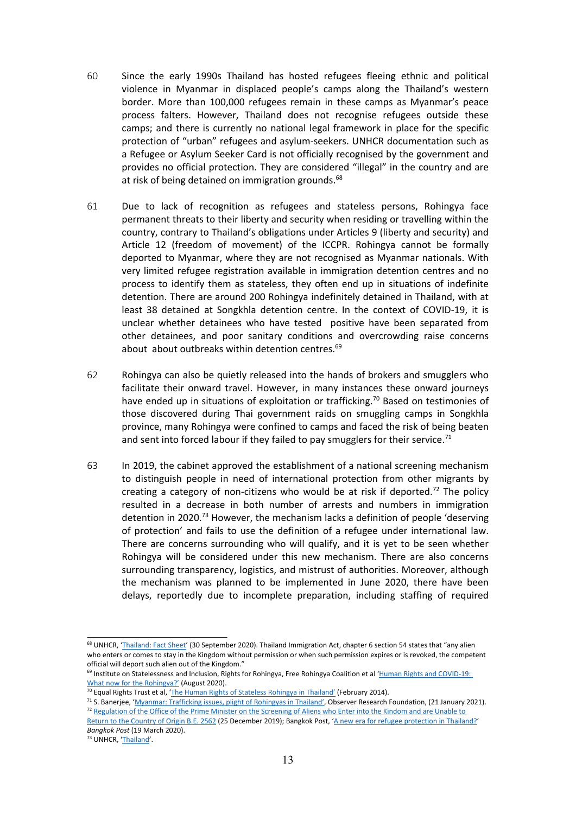- 60 Since the early 1990s Thailand has hosted refugees fleeing ethnic and political violence in Myanmar in displaced people'<sup>s</sup> camps along the Thailand'<sup>s</sup> western border. More than 100,000 refugees remain in these camps as Myanmar'<sup>s</sup> peace process falters. However, Thailand does not recognise refugees outside these camps; and there is currently no national legal framework in place for the specific protection of "urban" refugees and asylum-seekers. UNHCR documentation such as <sup>a</sup> Refugee or Asylum Seeker Card is not officially recognised by the government and provides no official protection. They are considered "illegal" in the country and are at risk of being detained on immigration grounds.<sup>68</sup>
- 61 Due to lack of recognition as refugees and stateless persons, Rohingya face permanent threats to their liberty and security when residing or travelling within the country, contrary to Thailand'<sup>s</sup> obligations under Articles 9 (liberty and security) and Article 12 (freedom of movement) of the ICCPR. Rohingya cannot be formally deported to Myanmar, where they are not recognised as Myanmar nationals. With very limited refugee registration available in immigration detention centres and no process to identify them as stateless, they often end up in situations of indefinite detention. There are around 200 Rohingya indefinitely detained in Thailand, with at least 38 detained at Songkhla detention centre. In the context of COVID-19, it is unclear whether detainees who have tested positive have been separated from other detainees, and poor sanitary conditions and overcrowding raise concerns about about outbreaks within detention centres.<sup>69</sup>
- 62 Rohingya can also be quietly released into the hands of brokers and smugglers who facilitate their onward travel. However, in many instances these onward journeys have ended up in situations of exploitation or trafficking.<sup>70</sup> Based on testimonies of those discovered during Thai government raids on smuggling camps in Songkhla province, many Rohingya were confined to camps and faced the risk of being beaten and sent into forced labour if they failed to pay smugglers for their service.<sup>71</sup>
- 63 In 2019, the cabinet approved the establishment of <sup>a</sup> national screening mechanism to distinguish people in need of international protection from other migrants by creating a category of non-citizens who would be at risk if deported.<sup>72</sup> The policy resulted in <sup>a</sup> decrease in both number of arrests and numbers in immigration detention in 2020.<sup>73</sup> However, the mechanism lacks a definition of people 'deserving of protection' and fails to use the definition of <sup>a</sup> refugee under international law. There are concerns surrounding who will qualify, and it is yet to be seen whether Rohingya will be considered under this new mechanism. There are also concerns surrounding transparency, logistics, and mistrust of authorities. Moreover, although the mechanism was planned to be implemented in June 2020, there have been delays, reportedly due to incomplete preparation, including staffing of required

<sup>&</sup>lt;sup>68</sup> UNHCR, '[Thailand:](https://www.unhcr.org/th/wp-content/uploads/sites/91/2020/11/UNHCR-Thailand-Fact-Sheet_30-September-2020.pdf) Fact Sheet' (30 September 2020). Thailand Immigration Act, chapter 6 section 54 states that "any alier who enters or comes to stay in the Kingdom without permission or when such permission expires or is revoked, the competent official will deport such alien out of the Kingdom."

<sup>&</sup>lt;sup>69</sup> Institute on Statelessness and Inclusion, Rights for Rohingya, Free Rohingya Coalition et al 'Human Rights and COVID-19 What now for the [Rohingya?](https://files.institutesi.org/Covid19_The_Rohingya_Briefing_Paper.pdf)' (August 2020).

<sup>&</sup>lt;sup>70</sup> Equal Rights Trust et al, '<u>The Human Rights of Stateless [Rohingya](https://www.equalrightstrust.org/ertdocumentbank/The%20Human%20Rights%20of%20Stateless%20Rohingya%20in%20Thailand%28small%29.pdf) in Thailand'</u> (February 2014).

<sup>&</sup>lt;sup>71</sup> S. Banerjee, 'Myanmar: [Trafficking](https://www.orfonline.org/expert-speak/myanmar-trafficking-issues-plight-rohingyas-thailand/) issues, plight of Rohingyas in Thailand', Observer Research Foundation, (21 January 2021). <sup>72</sup> [Regulation](https://www.refworld.org/docid/5e675a774.html) of the Office of the Prime Minister on the Screening of Aliens who Enter into the Kindom and are Unable to

Return to the [Country](https://www.refworld.org/docid/5e675a774.html) of Origin B.E. 2562 (25 December 2019); Bangkok Post, 'A new era for refugee [protection](https://www.bangkokpost.com/opinion/opinion/1881970/a-new-era-for-refugee-protection-in-thailand-) in Thailand?' *Bangkok Post* (19 March 2020).

<sup>&</sup>lt;sup>73</sup> UNHCR, '[Thailand](https://reporting.unhcr.org/thailand)'.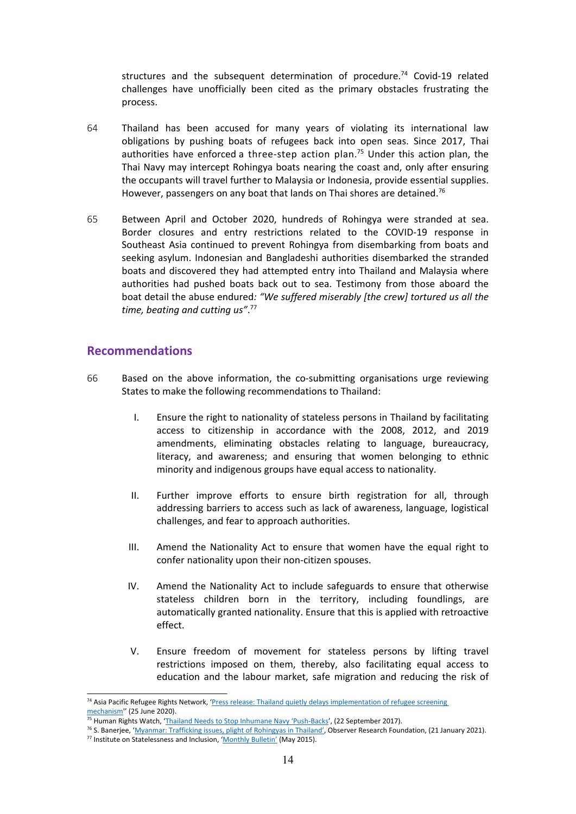structures and the subsequent determination of procedure. 74 Covid-19 related challenges have unofficially been cited as the primary obstacles frustrating the process.

- 64 Thailand has been accused for many years of violating its international law obligations by pushing boats of refugees back into open seas. Since 2017, Thai authorities have enforced a three-step action plan.<sup>75</sup> Under this action plan, the Thai Navy may intercept Rohingya boats nearing the coast and, only after ensuring the occupants will travel further to Malaysia or Indonesia, provide essential supplies. However, passengers on any boat that lands on Thai shores are detained.<sup>76</sup>
- 65 Between April and October 2020, hundreds of Rohingya were stranded at sea. Border closures and entry restrictions related to the COVID-19 response in Southeast Asia continued to prevent Rohingya from disembarking from boats and seeking asylum. Indonesian and Bangladeshi authorities disembarked the stranded boats and discovered they had attempted entry into Thailand and Malaysia where authorities had pushed boats back out to sea. Testimony from those aboard the boat detail the abuse endured*: "We suffered miserably [the crew] tortured us all the time, beating and cutting us"*. 77

#### **Recommendations**

- 66 Based on the above information, the co-submitting organisations urge reviewing States to make the following recommendations to Thailand:
	- I. Ensure the right to nationality of stateless persons in Thailand by facilitating access to citizenship in accordance with the 2008, 2012, and 2019 amendments, eliminating obstacles relating to language, bureaucracy, literacy, and awareness; and ensuring that women belonging to ethnic minority and indigenous groups have equal access to nationality.
	- II. Further improve efforts to ensure birth registration for all, through addressing barriers to access such as lack of awareness, language, logistical challenges, and fear to approach authorities.
	- III. Amend the Nationality Act to ensure that women have the equal right to confer nationality upon their non-citizen spouses.
	- IV. Amend the Nationality Act to include safeguards to ensure that otherwise stateless children born in the territory, including foundlings, are automatically granted nationality. Ensure that this is applied with retroactive effect.
	- V. Ensure freedom of movement for stateless persons by lifting travel restrictions imposed on them, thereby, also facilitating equal access to education and the labour market, safe migration and reducing the risk of

<sup>&</sup>lt;sup>74</sup> Asia Pacific Refugee Rights Network, 'Press release: Thailand quietly delays [implementation](https://reliefweb.int/report/thailand/press-release-thailand-quietly-delays-implementation-refugee-screening-mechanism) of refugee screening [mechanism](https://reliefweb.int/report/thailand/press-release-thailand-quietly-delays-implementation-refugee-screening-mechanism)'' (25 June 2020).

<sup>&</sup>lt;sup>75</sup> Human Rights Watch, 'Thailand Needs to Stop Inhumane Navy '[Push-Backs](https://www.hrw.org/news/2017/09/22/thailand-needs-stop-inhumane-navy-push-backs)', (22 September 2017).

<sup>&</sup>lt;sup>76</sup> S. Banerjee, 'Myanmar: [Trafficking](https://www.orfonline.org/expert-speak/myanmar-trafficking-issues-plight-rohingyas-thailand/) issues, plight of Rohingyas in Thailand', Observer Research Foundation, (21 January 2021). <sup>77</sup> Institute on Statelessness and Inclusion, '[Monthly](http://www.institutesi.org/stateless_bulletin_2015-05.pdf) Bulletin' (May 2015).